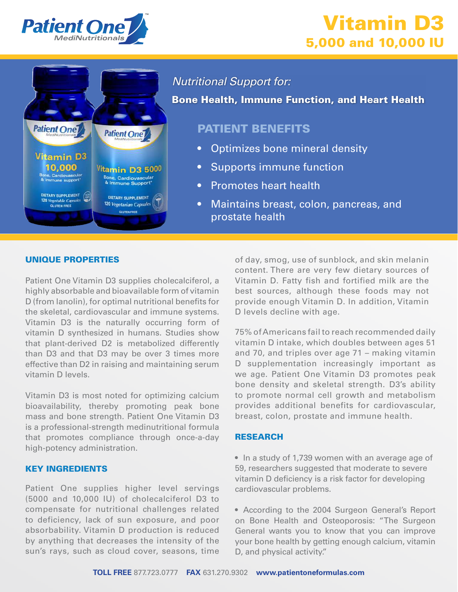

# Vitamin D3 5,000 and 10,000 IU



Nutritional Support for:

Bone Health, Immune Function, and Heart Health

### PATIENT BENEFITS

- Optimizes bone mineral density
- Supports immune function
- Promotes heart health
- Maintains breast, colon, pancreas, and prostate health

#### UNIQUE PROPERTIES

Patient One Vitamin D3 supplies cholecalciferol, a highly absorbable and bioavailable form of vitamin D (from lanolin), for optimal nutritional benefits for the skeletal, cardiovascular and immune systems. Vitamin D3 is the naturally occurring form of vitamin D synthesized in humans. Studies show that plant-derived D2 is metabolized differently than D3 and that D3 may be over 3 times more effective than D2 in raising and maintaining serum vitamin D levels.

Vitamin D3 is most noted for optimizing calcium bioavailability, thereby promoting peak bone mass and bone strength. Patient One Vitamin D3 is a professional-strength medinutritional formula that promotes compliance through once-a-day high-potency administration.

#### KEY INGREDIENTS

Patient One supplies higher level servings (5000 and 10,000 IU) of cholecalciferol D3 to compensate for nutritional challenges related to deficiency, lack of sun exposure, and poor absorbability. Vitamin D production is reduced by anything that decreases the intensity of the sun's rays, such as cloud cover, seasons, time

of day, smog, use of sunblock, and skin melanin content. There are very few dietary sources of Vitamin D. Fatty fish and fortified milk are the best sources, although these foods may not provide enough Vitamin D. In addition, Vitamin D levels decline with age.

75% of Americans fail to reach recommended daily vitamin D intake, which doubles between ages 51 and 70, and triples over age 71 – making vitamin D supplementation increasingly important as we age. Patient One Vitamin D3 promotes peak bone density and skeletal strength. D3's ability to promote normal cell growth and metabolism provides additional benefits for cardiovascular, breast, colon, prostate and immune health.

#### RESEARCH

• In a study of 1,739 women with an average age of 59, researchers suggested that moderate to severe vitamin D deficiency is a risk factor for developing cardiovascular problems.

• According to the 2004 Surgeon General's Report on Bone Health and Osteoporosis: "The Surgeon General wants you to know that you can improve your bone health by getting enough calcium, vitamin D, and physical activity."